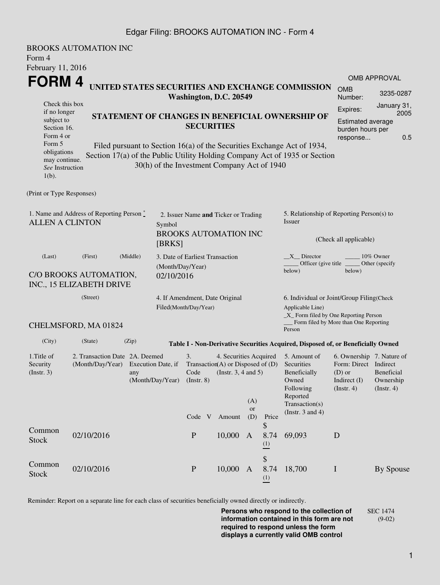### Edgar Filing: BROOKS AUTOMATION INC - Form 4

| Form 4<br>February 11, 2016                                                                                                                       | <b>BROOKS AUTOMATION INC</b>                                          |                                                                                                                                                                                                                                                                              |                                                                                          |                                                         |                                                                                                |                                                                                                 |                               |                                                                                                                         |                                                                                                                                                  |                               |  |  |
|---------------------------------------------------------------------------------------------------------------------------------------------------|-----------------------------------------------------------------------|------------------------------------------------------------------------------------------------------------------------------------------------------------------------------------------------------------------------------------------------------------------------------|------------------------------------------------------------------------------------------|---------------------------------------------------------|------------------------------------------------------------------------------------------------|-------------------------------------------------------------------------------------------------|-------------------------------|-------------------------------------------------------------------------------------------------------------------------|--------------------------------------------------------------------------------------------------------------------------------------------------|-------------------------------|--|--|
| FORM 4                                                                                                                                            |                                                                       |                                                                                                                                                                                                                                                                              |                                                                                          |                                                         |                                                                                                |                                                                                                 |                               | <b>OMB APPROVAL</b>                                                                                                     |                                                                                                                                                  |                               |  |  |
|                                                                                                                                                   |                                                                       | UNITED STATES SECURITIES AND EXCHANGE COMMISSION<br>Washington, D.C. 20549                                                                                                                                                                                                   |                                                                                          |                                                         |                                                                                                |                                                                                                 |                               | 3235-0287                                                                                                               |                                                                                                                                                  |                               |  |  |
| Check this box<br>if no longer<br>subject to<br>Section 16.<br>Form 4 or<br>Form 5<br>obligations<br>may continue.<br>See Instruction<br>$1(b)$ . |                                                                       | STATEMENT OF CHANGES IN BENEFICIAL OWNERSHIP OF<br><b>SECURITIES</b><br>Filed pursuant to Section 16(a) of the Securities Exchange Act of 1934,<br>Section 17(a) of the Public Utility Holding Company Act of 1935 or Section<br>30(h) of the Investment Company Act of 1940 |                                                                                          |                                                         |                                                                                                |                                                                                                 |                               |                                                                                                                         |                                                                                                                                                  |                               |  |  |
| (Print or Type Responses)                                                                                                                         |                                                                       |                                                                                                                                                                                                                                                                              |                                                                                          |                                                         |                                                                                                |                                                                                                 |                               |                                                                                                                         |                                                                                                                                                  |                               |  |  |
| 1. Name and Address of Reporting Person $\degree$<br><b>ALLEN A CLINTON</b>                                                                       |                                                                       |                                                                                                                                                                                                                                                                              | 2. Issuer Name and Ticker or Trading<br>Symbol<br><b>BROOKS AUTOMATION INC</b><br>[BRKS] |                                                         |                                                                                                |                                                                                                 |                               | 5. Relationship of Reporting Person(s) to<br>Issuer<br>(Check all applicable)                                           |                                                                                                                                                  |                               |  |  |
| (Last)<br>C/O BROOKS AUTOMATION,<br>INC., 15 ELIZABETH DRIVE                                                                                      | 3. Date of Earliest Transaction<br>(Month/Day/Year)<br>02/10/2016     |                                                                                                                                                                                                                                                                              |                                                                                          |                                                         |                                                                                                | $X$ Director<br>$10\%$ Owner<br>Officer (give title ________ Other (specify<br>below)<br>below) |                               |                                                                                                                         |                                                                                                                                                  |                               |  |  |
|                                                                                                                                                   | (Street)<br>CHELMSFORD, MA 01824                                      |                                                                                                                                                                                                                                                                              |                                                                                          | 4. If Amendment, Date Original<br>Filed(Month/Day/Year) |                                                                                                |                                                                                                 |                               |                                                                                                                         | 6. Individual or Joint/Group Filing(Check<br>Applicable Line)<br>_X_ Form filed by One Reporting Person<br>Form filed by More than One Reporting |                               |  |  |
|                                                                                                                                                   |                                                                       |                                                                                                                                                                                                                                                                              |                                                                                          |                                                         |                                                                                                |                                                                                                 |                               | Person                                                                                                                  |                                                                                                                                                  |                               |  |  |
| (City)                                                                                                                                            | (State)                                                               | (Zip)                                                                                                                                                                                                                                                                        |                                                                                          |                                                         |                                                                                                |                                                                                                 |                               | Table I - Non-Derivative Securities Acquired, Disposed of, or Beneficially Owned                                        |                                                                                                                                                  |                               |  |  |
| 1. Title of<br>Security<br>$($ Instr. 3 $)$                                                                                                       | 2. Transaction Date 2A. Deemed<br>(Month/Day/Year) Execution Date, if | any                                                                                                                                                                                                                                                                          | (Month/Day/Year)                                                                         | 3.<br>$($ Instr. $8)$<br>Code V Amount                  | 4. Securities Acquired<br>Transaction(A) or Disposed of $(D)$<br>Code (Instr. $3, 4$ and $5$ ) | (A)<br><b>or</b><br>(D)                                                                         | Price                         | 5. Amount of<br>Securities<br>Beneficially<br>Owned<br>Following<br>Reported<br>Transaction(s)<br>(Instr. $3$ and $4$ ) | 6. Ownership 7. Nature of<br>Form: Direct Indirect<br>(D) or Beneficial<br>Indirect $(I)$<br>$($ Instr. 4 $)$                                    | Ownership<br>$($ Instr. 4 $)$ |  |  |
| Common<br><b>Stock</b>                                                                                                                            | 02/10/2016                                                            |                                                                                                                                                                                                                                                                              |                                                                                          | ${\bf P}$                                               | 10,000 A                                                                                       |                                                                                                 | \$<br>(1)                     | 8.74 69,093                                                                                                             | D                                                                                                                                                |                               |  |  |
| Common<br><b>Stock</b>                                                                                                                            | 02/10/2016                                                            |                                                                                                                                                                                                                                                                              |                                                                                          | $\, {\bf P}$                                            | 10,000 A                                                                                       |                                                                                                 | \$<br>8.74<br>$\frac{(1)}{2}$ | 18,700                                                                                                                  | $\mathbf I$                                                                                                                                      | By Spouse                     |  |  |

Reminder: Report on a separate line for each class of securities beneficially owned directly or indirectly.

**Persons who respond to the collection of information contained in this form are not required to respond unless the form displays a currently valid OMB control** SEC 1474 (9-02)